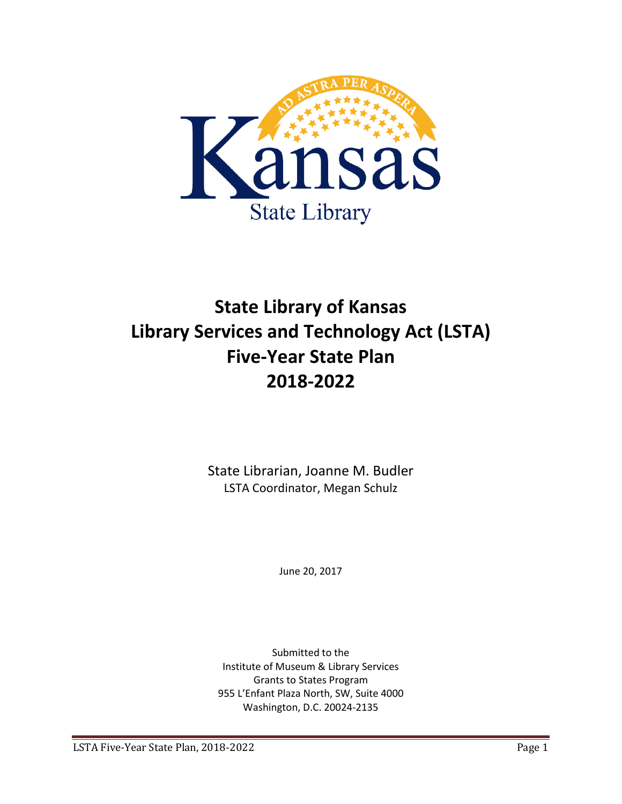

# **State Library of Kansas Library Services and Technology Act (LSTA) Five-Year State Plan 2018-2022**

State Librarian, Joanne M. Budler LSTA Coordinator, Megan Schulz

June 20, 2017

Submitted to the Institute of Museum & Library Services Grants to States Program 955 L'Enfant Plaza North, SW, Suite 4000 Washington, D.C. 20024-2135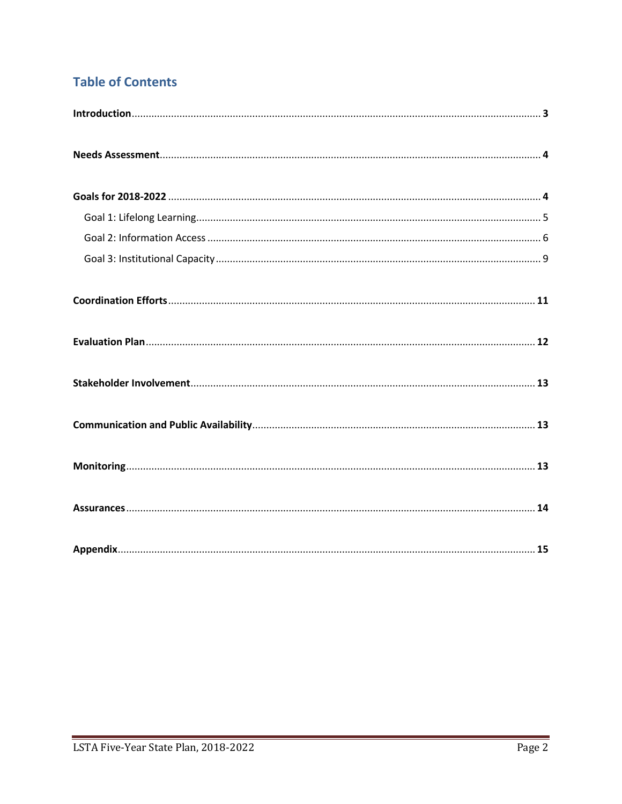## **Table of Contents**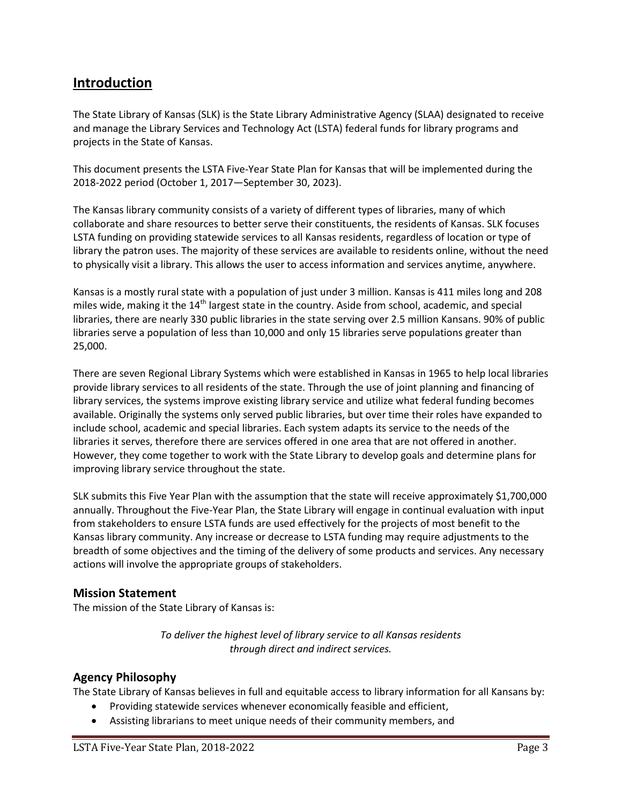## **Introduction**

The State Library of Kansas (SLK) is the State Library Administrative Agency (SLAA) designated to receive and manage the Library Services and Technology Act (LSTA) federal funds for library programs and projects in the State of Kansas.

This document presents the LSTA Five-Year State Plan for Kansas that will be implemented during the 2018-2022 period (October 1, 2017—September 30, 2023).

The Kansas library community consists of a variety of different types of libraries, many of which collaborate and share resources to better serve their constituents, the residents of Kansas. SLK focuses LSTA funding on providing statewide services to all Kansas residents, regardless of location or type of library the patron uses. The majority of these services are available to residents online, without the need to physically visit a library. This allows the user to access information and services anytime, anywhere.

Kansas is a mostly rural state with a population of just under 3 million. Kansas is 411 miles long and 208 miles wide, making it the  $14<sup>th</sup>$  largest state in the country. Aside from school, academic, and special libraries, there are nearly 330 public libraries in the state serving over 2.5 million Kansans. 90% of public libraries serve a population of less than 10,000 and only 15 libraries serve populations greater than 25,000.

There are seven Regional Library Systems which were established in Kansas in 1965 to help local libraries provide library services to all residents of the state. Through the use of joint planning and financing of library services, the systems improve existing library service and utilize what federal funding becomes available. Originally the systems only served public libraries, but over time their roles have expanded to include school, academic and special libraries. Each system adapts its service to the needs of the libraries it serves, therefore there are services offered in one area that are not offered in another. However, they come together to work with the State Library to develop goals and determine plans for improving library service throughout the state.

SLK submits this Five Year Plan with the assumption that the state will receive approximately \$1,700,000 annually. Throughout the Five-Year Plan, the State Library will engage in continual evaluation with input from stakeholders to ensure LSTA funds are used effectively for the projects of most benefit to the Kansas library community. Any increase or decrease to LSTA funding may require adjustments to the breadth of some objectives and the timing of the delivery of some products and services. Any necessary actions will involve the appropriate groups of stakeholders.

## **Mission Statement**

The mission of the State Library of Kansas is:

*To deliver the highest level of library service to all Kansas residents through direct and indirect services.* 

## **Agency Philosophy**

The State Library of Kansas believes in full and equitable access to library information for all Kansans by:

- Providing statewide services whenever economically feasible and efficient,
- Assisting librarians to meet unique needs of their community members, and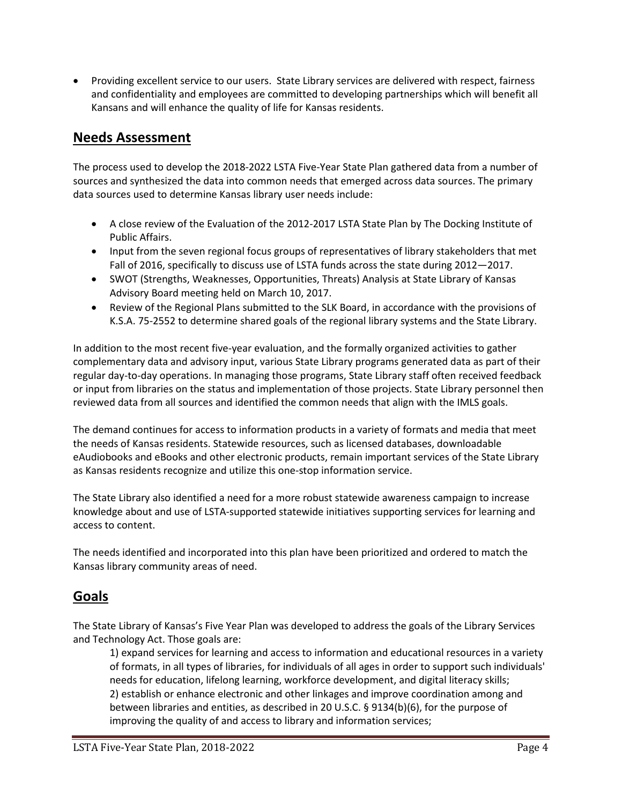• Providing excellent service to our users. State Library services are delivered with respect, fairness and confidentiality and employees are committed to developing partnerships which will benefit all Kansans and will enhance the quality of life for Kansas residents.

## **Needs Assessment**

The process used to develop the 2018-2022 LSTA Five-Year State Plan gathered data from a number of sources and synthesized the data into common needs that emerged across data sources. The primary data sources used to determine Kansas library user needs include:

- A close review of the Evaluation of the 2012-2017 LSTA State Plan by The Docking Institute of Public Affairs.
- Input from the seven regional focus groups of representatives of library stakeholders that met Fall of 2016, specifically to discuss use of LSTA funds across the state during 2012—2017.
- SWOT (Strengths, Weaknesses, Opportunities, Threats) Analysis at State Library of Kansas Advisory Board meeting held on March 10, 2017.
- Review of the Regional Plans submitted to the SLK Board, in accordance with the provisions of K.S.A. 75-2552 to determine shared goals of the regional library systems and the State Library.

In addition to the most recent five-year evaluation, and the formally organized activities to gather complementary data and advisory input, various State Library programs generated data as part of their regular day-to-day operations. In managing those programs, State Library staff often received feedback or input from libraries on the status and implementation of those projects. State Library personnel then reviewed data from all sources and identified the common needs that align with the IMLS goals.

The demand continues for access to information products in a variety of formats and media that meet the needs of Kansas residents. Statewide resources, such as licensed databases, downloadable eAudiobooks and eBooks and other electronic products, remain important services of the State Library as Kansas residents recognize and utilize this one-stop information service.

The State Library also identified a need for a more robust statewide awareness campaign to increase knowledge about and use of LSTA-supported statewide initiatives supporting services for learning and access to content.

The needs identified and incorporated into this plan have been prioritized and ordered to match the Kansas library community areas of need.

## **Goals**

The State Library of Kansas's Five Year Plan was developed to address the goals of the Library Services and Technology Act. Those goals are:

1) expand services for learning and access to information and educational resources in a variety of formats, in all types of libraries, for individuals of all ages in order to support such individuals' needs for education, lifelong learning, workforce development, and digital literacy skills; 2) establish or enhance electronic and other linkages and improve coordination among and between libraries and entities, as described in 20 U.S.C. § 9134(b)(6), for the purpose of improving the quality of and access to library and information services;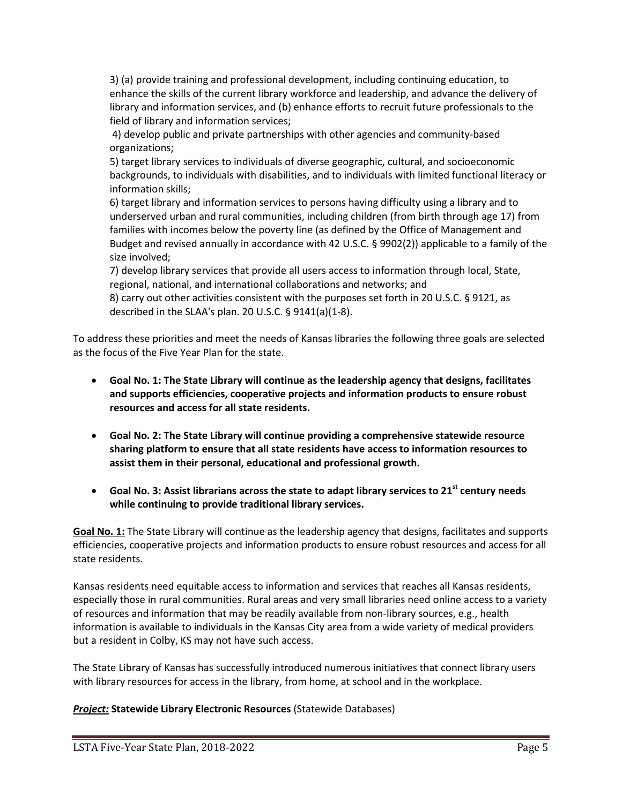3) (a) provide training and professional development, including continuing education, to enhance the skills of the current library workforce and leadership, and advance the delivery of library and information services, and (b) enhance efforts to recruit future professionals to the field of library and information services;

4) develop public and private partnerships with other agencies and community-based organizations;

5) target library services to individuals of diverse geographic, cultural, and socioeconomic backgrounds, to individuals with disabilities, and to individuals with limited functional literacy or information skills;

6) target library and information services to persons having difficulty using a library and to underserved urban and rural communities, including children (from birth through age 17) from families with incomes below the poverty line (as defined by the Office of Management and Budget and revised annually in accordance with 42 U.S.C. § 9902(2)) applicable to a family of the size involved;

7) develop library services that provide all users access to information through local, State, regional, national, and international collaborations and networks; and

8) carry out other activities consistent with the purposes set forth in 20 U.S.C. § 9121, as described in the SLAA's plan. 20 U.S.C. § 9141(a)(1-8).

To address these priorities and meet the needs of Kansas libraries the following three goals are selected as the focus of the Five Year Plan for the state.

- **Goal No. 1: The State Library will continue as the leadership agency that designs, facilitates and supports efficiencies, cooperative projects and information products to ensure robust resources and access for all state residents.**
- **Goal No. 2: The State Library will continue providing a comprehensive statewide resource sharing platform to ensure that all state residents have access to information resources to assist them in their personal, educational and professional growth.**
- **Goal No. 3: Assist librarians across the state to adapt library services to 21st century needs while continuing to provide traditional library services.**

**Goal No. 1:** The State Library will continue as the leadership agency that designs, facilitates and supports efficiencies, cooperative projects and information products to ensure robust resources and access for all state residents.

Kansas residents need equitable access to information and services that reaches all Kansas residents, especially those in rural communities. Rural areas and very small libraries need online access to a variety of resources and information that may be readily available from non-library sources, e.g., health information is available to individuals in the Kansas City area from a wide variety of medical providers but a resident in Colby, KS may not have such access.

The State Library of Kansas has successfully introduced numerous initiatives that connect library users with library resources for access in the library, from home, at school and in the workplace.

## **Project: Statewide Library Electronic Resources (Statewide Databases)**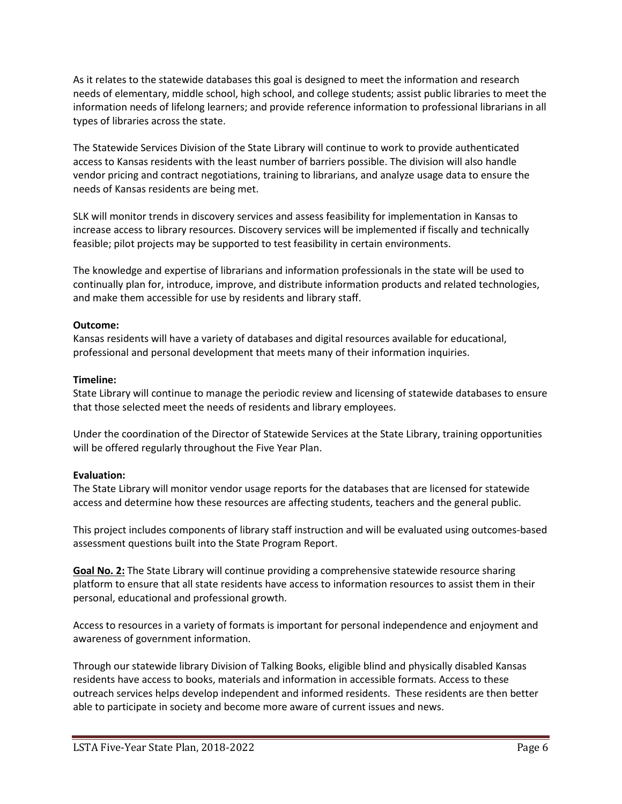As it relates to the statewide databases this goal is designed to meet the information and research needs of elementary, middle school, high school, and college students; assist public libraries to meet the information needs of lifelong learners; and provide reference information to professional librarians in all types of libraries across the state.

The Statewide Services Division of the State Library will continue to work to provide authenticated access to Kansas residents with the least number of barriers possible. The division will also handle vendor pricing and contract negotiations, training to librarians, and analyze usage data to ensure the needs of Kansas residents are being met.

SLK will monitor trends in discovery services and assess feasibility for implementation in Kansas to increase access to library resources. Discovery services will be implemented if fiscally and technically feasible; pilot projects may be supported to test feasibility in certain environments.

The knowledge and expertise of librarians and information professionals in the state will be used to continually plan for, introduce, improve, and distribute information products and related technologies, and make them accessible for use by residents and library staff.

#### **Outcome:**

Kansas residents will have a variety of databases and digital resources available for educational, professional and personal development that meets many of their information inquiries.

#### **Timeline:**

State Library will continue to manage the periodic review and licensing of statewide databases to ensure that those selected meet the needs of residents and library employees.

Under the coordination of the Director of Statewide Services at the State Library, training opportunities will be offered regularly throughout the Five Year Plan.

## **Evaluation:**

The State Library will monitor vendor usage reports for the databases that are licensed for statewide access and determine how these resources are affecting students, teachers and the general public.

This project includes components of library staff instruction and will be evaluated using outcomes-based assessment questions built into the State Program Report.

**Goal No. 2:** The State Library will continue providing a comprehensive statewide resource sharing platform to ensure that all state residents have access to information resources to assist them in their personal, educational and professional growth.

Access to resources in a variety of formats is important for personal independence and enjoyment and awareness of government information.

Through our statewide library Division of Talking Books, eligible blind and physically disabled Kansas residents have access to books, materials and information in accessible formats. Access to these outreach services helps develop independent and informed residents. These residents are then better able to participate in society and become more aware of current issues and news.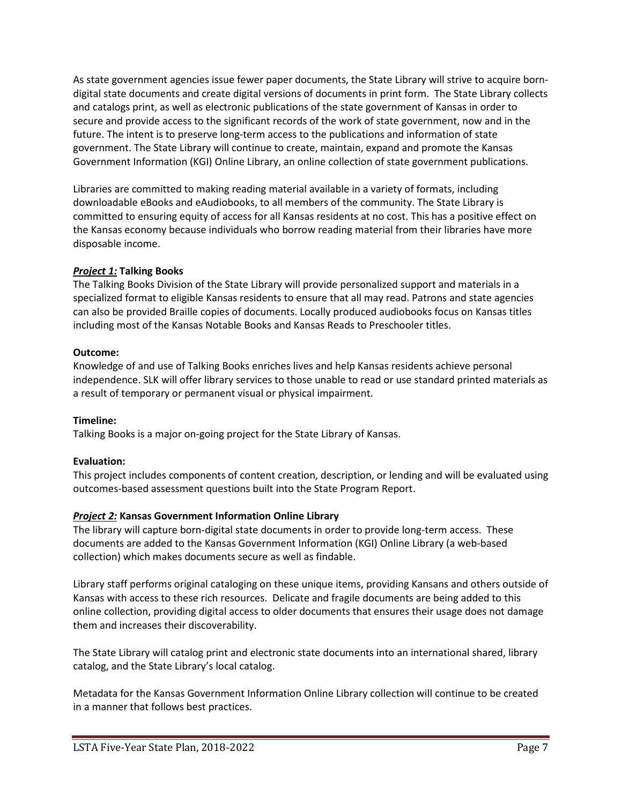As state government agencies issue fewer paper documents, the State Library will strive to acquire borndigital state documents and create digital versions of documents in print form. The State Library collects and catalogs print, as well as electronic publications of the state government of Kansas in order to secure and provide access to the significant records of the work of state government, now and in the future. The intent is to preserve long-term access to the publications and information of state government. The State Library will continue to create, maintain, expand and promote the Kansas Government Information (KGI) Online Library, an online collection of state government publications.

Libraries are committed to making reading material available in a variety of formats, including downloadable eBooks and eAudiobooks, to all members of the community. The State Library is committed to ensuring equity of access for all Kansas residents at no cost. This has a positive effect on the Kansas economy because individuals who borrow reading material from their libraries have more disposable income.

## *Project 1:* **Talking Books**

The Talking Books Division of the State Library will provide personalized support and materials in a specialized format to eligible Kansas residents to ensure that all may read. Patrons and state agencies can also be provided Braille copies of documents. Locally produced audiobooks focus on Kansas titles including most of the Kansas Notable Books and Kansas Reads to Preschooler titles.

## **Outcome:**

Knowledge of and use of Talking Books enriches lives and help Kansas residents achieve personal independence. SLK will offer library services to those unable to read or use standard printed materials as a result of temporary or permanent visual or physical impairment.

## **Timeline:**

Talking Books is a major on-going project for the State Library of Kansas.

## **Evaluation:**

This project includes components of content creation, description, or lending and will be evaluated using outcomes-based assessment questions built into the State Program Report.

## *Project 2:* **Kansas Government Information Online Library**

The library will capture born-digital state documents in order to provide long-term access. These documents are added to the Kansas Government Information (KGI) Online Library (a web-based collection) which makes documents secure as well as findable.

Library staff performs original cataloging on these unique items, providing Kansans and others outside of Kansas with access to these rich resources. Delicate and fragile documents are being added to this online collection, providing digital access to older documents that ensures their usage does not damage them and increases their discoverability.

The State Library will catalog print and electronic state documents into an international shared, library catalog, and the State Library's local catalog.

Metadata for the Kansas Government Information Online Library collection will continue to be created in a manner that follows best practices.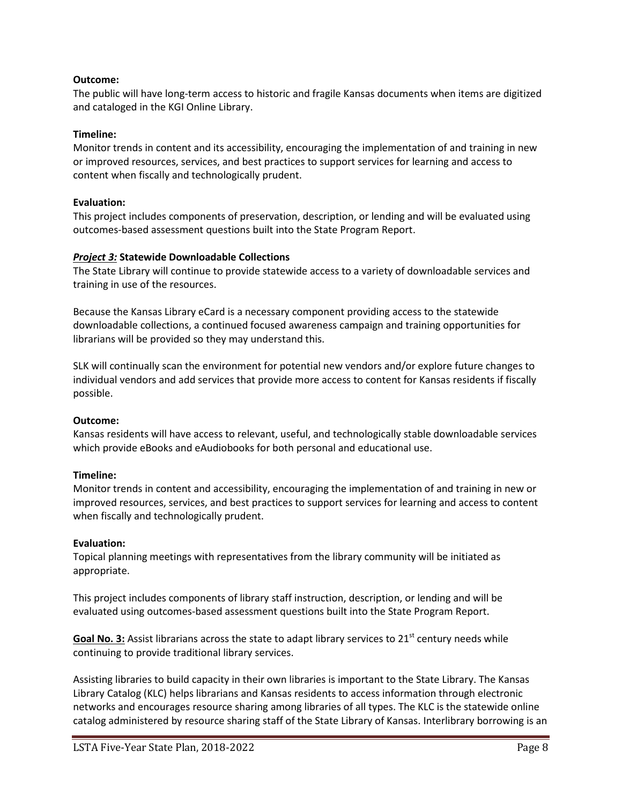#### **Outcome:**

The public will have long-term access to historic and fragile Kansas documents when items are digitized and cataloged in the KGI Online Library.

#### **Timeline:**

Monitor trends in content and its accessibility, encouraging the implementation of and training in new or improved resources, services, and best practices to support services for learning and access to content when fiscally and technologically prudent.

#### **Evaluation:**

This project includes components of preservation, description, or lending and will be evaluated using outcomes-based assessment questions built into the State Program Report.

#### *Project 3:* **Statewide Downloadable Collections**

The State Library will continue to provide statewide access to a variety of downloadable services and training in use of the resources.

Because the Kansas Library eCard is a necessary component providing access to the statewide downloadable collections, a continued focused awareness campaign and training opportunities for librarians will be provided so they may understand this.

SLK will continually scan the environment for potential new vendors and/or explore future changes to individual vendors and add services that provide more access to content for Kansas residents if fiscally possible.

#### **Outcome:**

Kansas residents will have access to relevant, useful, and technologically stable downloadable services which provide eBooks and eAudiobooks for both personal and educational use.

#### **Timeline:**

Monitor trends in content and accessibility, encouraging the implementation of and training in new or improved resources, services, and best practices to support services for learning and access to content when fiscally and technologically prudent.

#### **Evaluation:**

Topical planning meetings with representatives from the library community will be initiated as appropriate.

This project includes components of library staff instruction, description, or lending and will be evaluated using outcomes-based assessment questions built into the State Program Report.

Goal No. 3: Assist librarians across the state to adapt library services to 21<sup>st</sup> century needs while continuing to provide traditional library services.

Assisting libraries to build capacity in their own libraries is important to the State Library. The Kansas Library Catalog (KLC) helps librarians and Kansas residents to access information through electronic networks and encourages resource sharing among libraries of all types. The KLC is the statewide online catalog administered by resource sharing staff of the State Library of Kansas. Interlibrary borrowing is an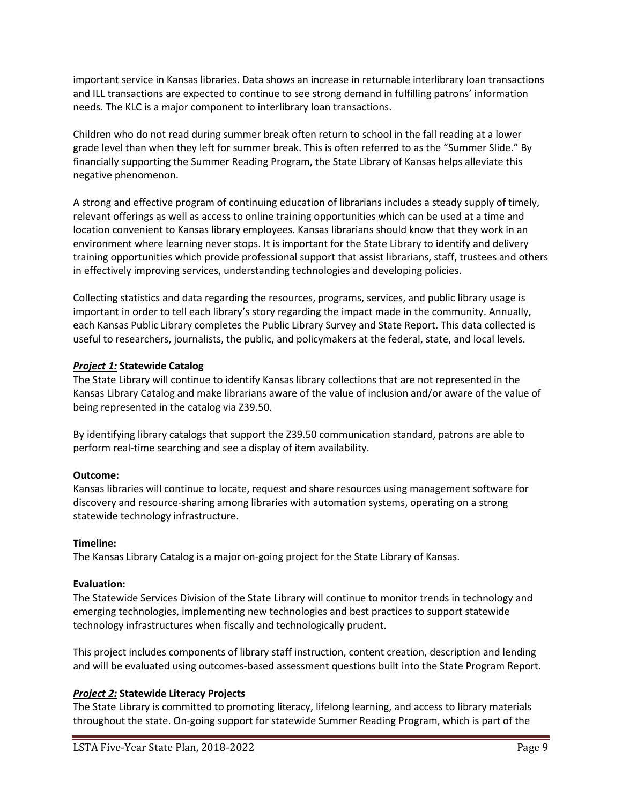important service in Kansas libraries. Data shows an increase in returnable interlibrary loan transactions and ILL transactions are expected to continue to see strong demand in fulfilling patrons' information needs. The KLC is a major component to interlibrary loan transactions.

Children who do not read during summer break often return to school in the fall reading at a lower grade level than when they left for summer break. This is often referred to as the "Summer Slide." By financially supporting the Summer Reading Program, the State Library of Kansas helps alleviate this negative phenomenon.

A strong and effective program of continuing education of librarians includes a steady supply of timely, relevant offerings as well as access to online training opportunities which can be used at a time and location convenient to Kansas library employees. Kansas librarians should know that they work in an environment where learning never stops. It is important for the State Library to identify and delivery training opportunities which provide professional support that assist librarians, staff, trustees and others in effectively improving services, understanding technologies and developing policies.

Collecting statistics and data regarding the resources, programs, services, and public library usage is important in order to tell each library's story regarding the impact made in the community. Annually, each Kansas Public Library completes the Public Library Survey and State Report. This data collected is useful to researchers, journalists, the public, and policymakers at the federal, state, and local levels.

## *Project 1:* **Statewide Catalog**

The State Library will continue to identify Kansas library collections that are not represented in the Kansas Library Catalog and make librarians aware of the value of inclusion and/or aware of the value of being represented in the catalog via Z39.50.

By identifying library catalogs that support the Z39.50 communication standard, patrons are able to perform real-time searching and see a display of item availability.

#### **Outcome:**

Kansas libraries will continue to locate, request and share resources using management software for discovery and resource-sharing among libraries with automation systems, operating on a strong statewide technology infrastructure.

#### **Timeline:**

The Kansas Library Catalog is a major on-going project for the State Library of Kansas.

#### **Evaluation:**

The Statewide Services Division of the State Library will continue to monitor trends in technology and emerging technologies, implementing new technologies and best practices to support statewide technology infrastructures when fiscally and technologically prudent.

This project includes components of library staff instruction, content creation, description and lending and will be evaluated using outcomes-based assessment questions built into the State Program Report.

## *Project 2:* **Statewide Literacy Projects**

The State Library is committed to promoting literacy, lifelong learning, and access to library materials throughout the state. On-going support for statewide Summer Reading Program, which is part of the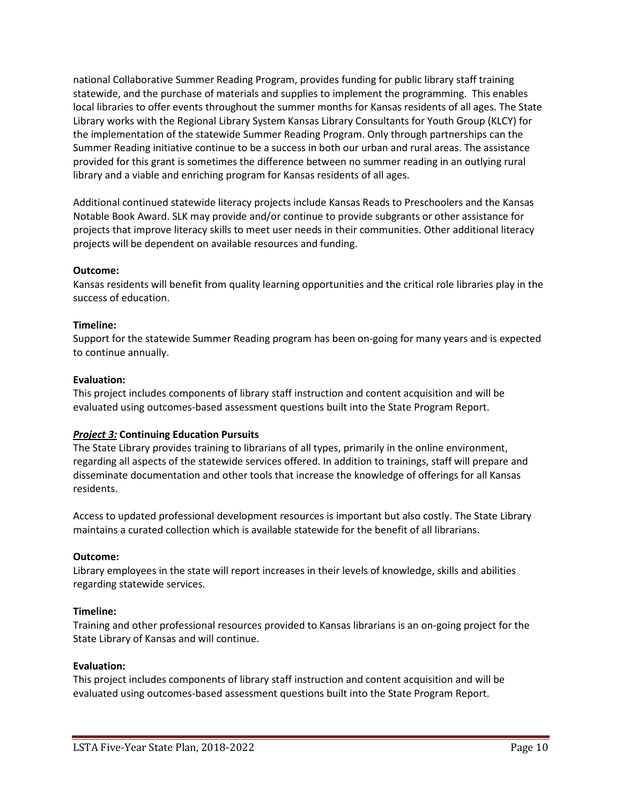national Collaborative Summer Reading Program, provides funding for public library staff training statewide, and the purchase of materials and supplies to implement the programming. This enables local libraries to offer events throughout the summer months for Kansas residents of all ages. The State Library works with the Regional Library System Kansas Library Consultants for Youth Group (KLCY) for the implementation of the statewide Summer Reading Program. Only through partnerships can the Summer Reading initiative continue to be a success in both our urban and rural areas. The assistance provided for this grant is sometimes the difference between no summer reading in an outlying rural library and a viable and enriching program for Kansas residents of all ages.

Additional continued statewide literacy projects include Kansas Reads to Preschoolers and the Kansas Notable Book Award. SLK may provide and/or continue to provide subgrants or other assistance for projects that improve literacy skills to meet user needs in their communities. Other additional literacy projects will be dependent on available resources and funding.

#### **Outcome:**

Kansas residents will benefit from quality learning opportunities and the critical role libraries play in the success of education.

#### **Timeline:**

Support for the statewide Summer Reading program has been on-going for many years and is expected to continue annually.

#### **Evaluation:**

This project includes components of library staff instruction and content acquisition and will be evaluated using outcomes-based assessment questions built into the State Program Report.

#### *Project 3:* **Continuing Education Pursuits**

The State Library provides training to librarians of all types, primarily in the online environment, regarding all aspects of the statewide services offered. In addition to trainings, staff will prepare and disseminate documentation and other tools that increase the knowledge of offerings for all Kansas residents.

Access to updated professional development resources is important but also costly. The State Library maintains a curated collection which is available statewide for the benefit of all librarians.

#### **Outcome:**

Library employees in the state will report increases in their levels of knowledge, skills and abilities regarding statewide services.

#### **Timeline:**

Training and other professional resources provided to Kansas librarians is an on-going project for the State Library of Kansas and will continue.

#### **Evaluation:**

This project includes components of library staff instruction and content acquisition and will be evaluated using outcomes-based assessment questions built into the State Program Report.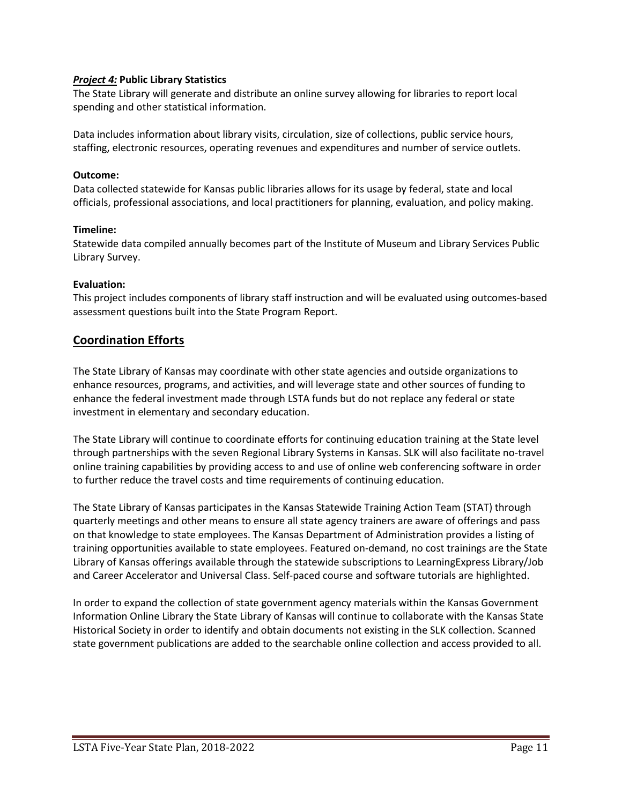#### *Project 4:* **Public Library Statistics**

The State Library will generate and distribute an online survey allowing for libraries to report local spending and other statistical information.

Data includes information about library visits, circulation, size of collections, public service hours, staffing, electronic resources, operating revenues and expenditures and number of service outlets.

#### **Outcome:**

Data collected statewide for Kansas public libraries allows for its usage by federal, state and local officials, professional associations, and local practitioners for planning, evaluation, and policy making.

#### **Timeline:**

Statewide data compiled annually becomes part of the Institute of Museum and Library Services Public Library Survey.

#### **Evaluation:**

This project includes components of library staff instruction and will be evaluated using outcomes-based assessment questions built into the State Program Report.

## **Coordination Efforts**

The State Library of Kansas may coordinate with other state agencies and outside organizations to enhance resources, programs, and activities, and will leverage state and other sources of funding to enhance the federal investment made through LSTA funds but do not replace any federal or state investment in elementary and secondary education.

The State Library will continue to coordinate efforts for continuing education training at the State level through partnerships with the seven Regional Library Systems in Kansas. SLK will also facilitate no-travel online training capabilities by providing access to and use of online web conferencing software in order to further reduce the travel costs and time requirements of continuing education.

The State Library of Kansas participates in the Kansas Statewide Training Action Team (STAT) through quarterly meetings and other means to ensure all state agency trainers are aware of offerings and pass on that knowledge to state employees. The Kansas Department of Administration provides a listing of training opportunities available to state employees. Featured on-demand, no cost trainings are the State Library of Kansas offerings available through the statewide subscriptions to LearningExpress Library/Job and Career Accelerator and Universal Class. Self-paced course and software tutorials are highlighted.

In order to expand the collection of state government agency materials within the Kansas Government Information Online Library the State Library of Kansas will continue to collaborate with the Kansas State Historical Society in order to identify and obtain documents not existing in the SLK collection. Scanned state government publications are added to the searchable online collection and access provided to all.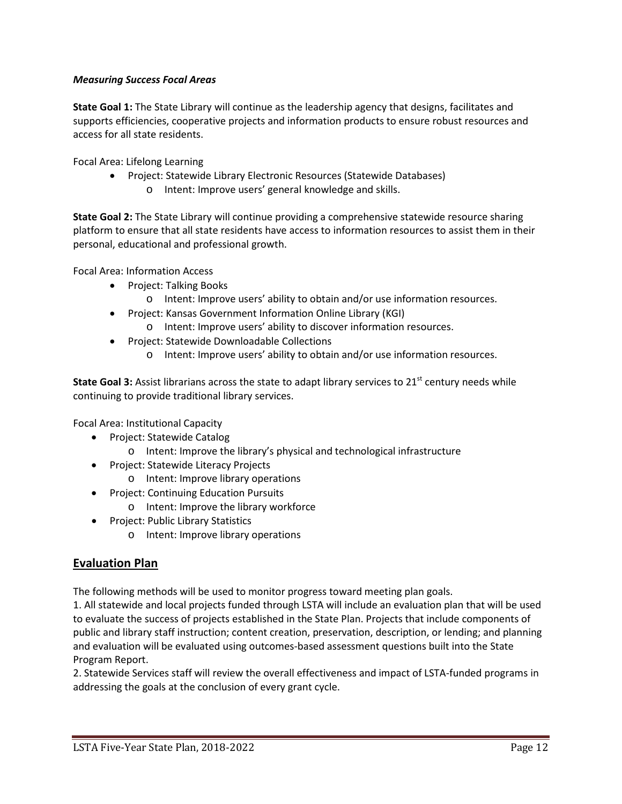## *Measuring Success Focal Areas*

**State Goal 1:** The State Library will continue as the leadership agency that designs, facilitates and supports efficiencies, cooperative projects and information products to ensure robust resources and access for all state residents.

Focal Area: Lifelong Learning

- Project: Statewide Library Electronic Resources (Statewide Databases)
	- o Intent: Improve users' general knowledge and skills.

**State Goal 2:** The State Library will continue providing a comprehensive statewide resource sharing platform to ensure that all state residents have access to information resources to assist them in their personal, educational and professional growth.

Focal Area: Information Access

- Project: Talking Books
	- o Intent: Improve users' ability to obtain and/or use information resources.
- Project: Kansas Government Information Online Library (KGI)
	- o Intent: Improve users' ability to discover information resources.
- Project: Statewide Downloadable Collections
	- o Intent: Improve users' ability to obtain and/or use information resources.

**State Goal 3:** Assist librarians across the state to adapt library services to 21<sup>st</sup> century needs while continuing to provide traditional library services.

Focal Area: Institutional Capacity

- Project: Statewide Catalog
	- o Intent: Improve the library's physical and technological infrastructure
- Project: Statewide Literacy Projects
	- o Intent: Improve library operations
- Project: Continuing Education Pursuits
	- o Intent: Improve the library workforce
- Project: Public Library Statistics
	- o Intent: Improve library operations

## **Evaluation Plan**

The following methods will be used to monitor progress toward meeting plan goals.

1. All statewide and local projects funded through LSTA will include an evaluation plan that will be used to evaluate the success of projects established in the State Plan. Projects that include components of public and library staff instruction; content creation, preservation, description, or lending; and planning and evaluation will be evaluated using outcomes-based assessment questions built into the State Program Report.

2. Statewide Services staff will review the overall effectiveness and impact of LSTA-funded programs in addressing the goals at the conclusion of every grant cycle.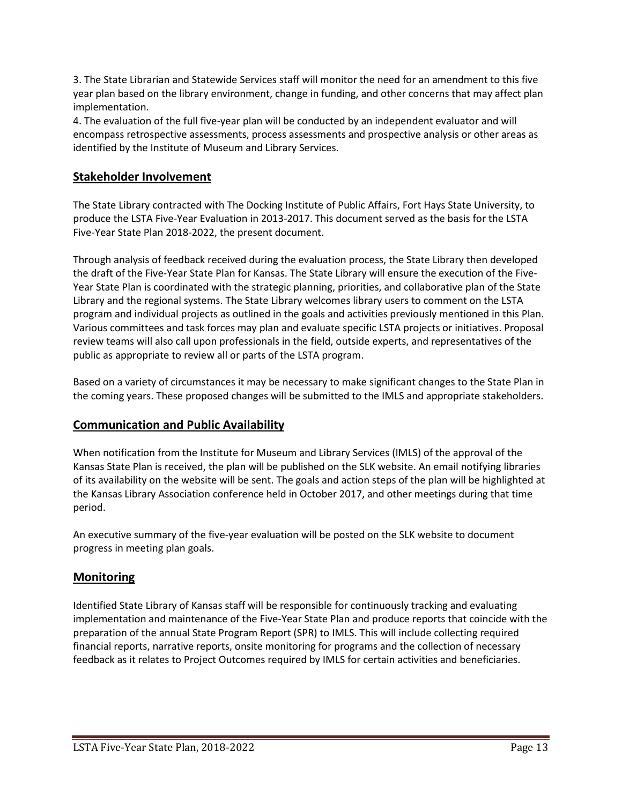3. The State Librarian and Statewide Services staff will monitor the need for an amendment to this five year plan based on the library environment, change in funding, and other concerns that may affect plan implementation.

4. The evaluation of the full five-year plan will be conducted by an independent evaluator and will encompass retrospective assessments, process assessments and prospective analysis or other areas as identified by the Institute of Museum and Library Services.

## **Stakeholder Involvement**

The State Library contracted with The Docking Institute of Public Affairs, Fort Hays State University, to produce the LSTA Five-Year Evaluation in 2013-2017. This document served as the basis for the LSTA Five-Year State Plan 2018-2022, the present document.

Through analysis of feedback received during the evaluation process, the State Library then developed the draft of the Five-Year State Plan for Kansas. The State Library will ensure the execution of the Five-Year State Plan is coordinated with the strategic planning, priorities, and collaborative plan of the State Library and the regional systems. The State Library welcomes library users to comment on the LSTA program and individual projects as outlined in the goals and activities previously mentioned in this Plan. Various committees and task forces may plan and evaluate specific LSTA projects or initiatives. Proposal review teams will also call upon professionals in the field, outside experts, and representatives of the public as appropriate to review all or parts of the LSTA program.

Based on a variety of circumstances it may be necessary to make significant changes to the State Plan in the coming years. These proposed changes will be submitted to the IMLS and appropriate stakeholders.

## **Communication and Public Availability**

When notification from the Institute for Museum and Library Services (IMLS) of the approval of the Kansas State Plan is received, the plan will be published on the SLK website. An email notifying libraries of its availability on the website will be sent. The goals and action steps of the plan will be highlighted at the Kansas Library Association conference held in October 2017, and other meetings during that time period.

An executive summary of the five-year evaluation will be posted on the SLK website to document progress in meeting plan goals.

## **Monitoring**

Identified State Library of Kansas staff will be responsible for continuously tracking and evaluating implementation and maintenance of the Five-Year State Plan and produce reports that coincide with the preparation of the annual State Program Report (SPR) to IMLS. This will include collecting required financial reports, narrative reports, onsite monitoring for programs and the collection of necessary feedback as it relates to Project Outcomes required by IMLS for certain activities and beneficiaries.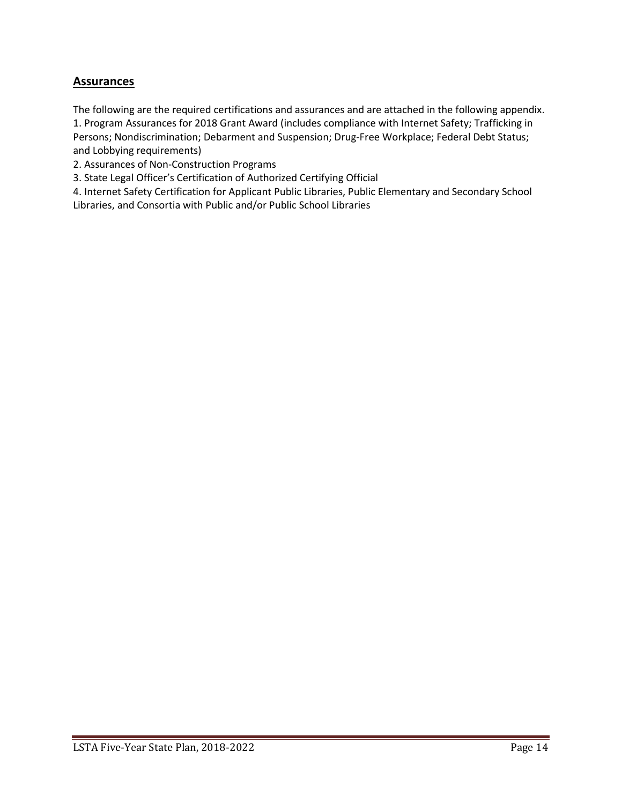## **Assurances**

The following are the required certifications and assurances and are attached in the following appendix. 1. Program Assurances for 2018 Grant Award (includes compliance with Internet Safety; Trafficking in Persons; Nondiscrimination; Debarment and Suspension; Drug-Free Workplace; Federal Debt Status; and Lobbying requirements)

2. Assurances of Non-Construction Programs

3. State Legal Officer's Certification of Authorized Certifying Official

4. Internet Safety Certification for Applicant Public Libraries, Public Elementary and Secondary School Libraries, and Consortia with Public and/or Public School Libraries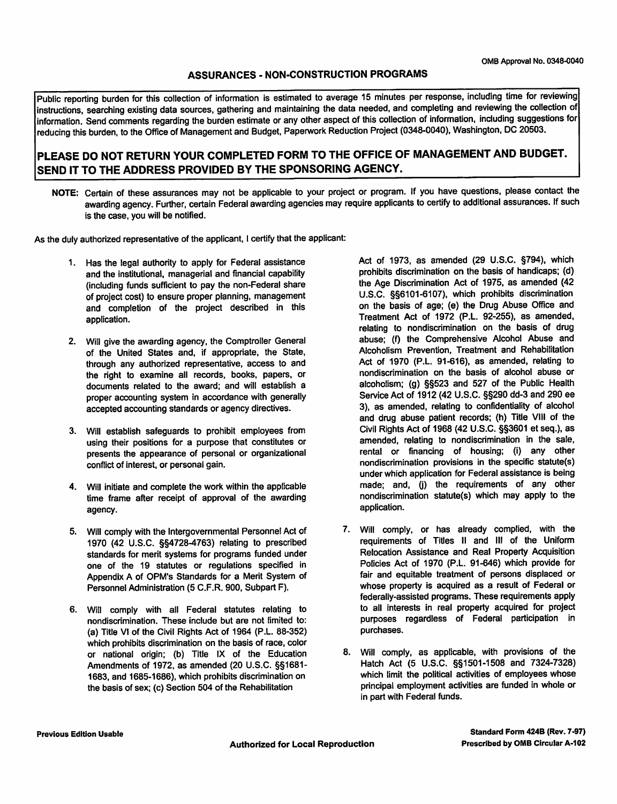#### **ASSURANCES - NON-CONSTRUCTION PROGRAMS**

Public reporting burden for this collection of information is estimated to average 15 minutes per response, including time for reviewing instructions, searching existing data sources, gathering and maintaining the data needed, and completing and reviewing the collection of information. Send comments regarding the burden estimate or any other aspect of this collection of information, including suggestions for reducing this burden, to the Office of Management and Budget, Paperwork Reduction Project (0348-0040), Washington, DC 20503.

## PLEASE DO NOT RETURN YOUR COMPLETED FORM TO THE OFFICE OF MANAGEMENT AND BUDGET. SEND IT TO THE ADDRESS PROVIDED BY THE SPONSORING AGENCY.

NOTE: Certain of these assurances may not be applicable to your project or program. If you have questions, please contact the awarding agency. Further, certain Federal awarding agencies may require applicants to certify to additional assurances. If such is the case, you will be notified.

As the duly authorized representative of the applicant, I certify that the applicant:

- 1. Has the legal authority to apply for Federal assistance and the institutional, managerial and financial capability (including funds sufficient to pay the non-Federal share of project cost) to ensure proper planning, management and completion of the project described in this application.
- 2. Will give the awarding agency, the Comptroller General of the United States and, if appropriate, the State, through any authorized representative, access to and the right to examine all records, books, papers, or documents related to the award; and will establish a proper accounting system in accordance with generally accepted accounting standards or agency directives.
- 3. Will establish safeguards to prohibit employees from using their positions for a purpose that constitutes or presents the appearance of personal or organizational conflict of interest, or personal gain.
- 4. Will initiate and complete the work within the applicable time frame after receipt of approval of the awarding agency.
- 5. Will comply with the Intergovernmental Personnel Act of 1970 (42 U.S.C. §§4728-4763) relating to prescribed standards for merit systems for programs funded under one of the 19 statutes or regulations specified in Appendix A of OPM's Standards for a Merit System of Personnel Administration (5 C.F.R. 900, Subpart F).
- 6. Will comply with all Federal statutes relating to nondiscrimination. These include but are not limited to: (a) Title VI of the Civil Rights Act of 1964 (P.L. 88-352) which prohibits discrimination on the basis of race, color or national origin; (b) Title IX of the Education Amendments of 1972, as amended (20 U.S.C. §§1681-1683, and 1685-1686), which prohibits discrimination on the basis of sex; (c) Section 504 of the Rehabilitation

Act of 1973, as amended (29 U.S.C. §794), which prohibits discrimination on the basis of handicaps; (d) the Age Discrimination Act of 1975, as amended (42 U.S.C. §§6101-6107), which prohibits discrimination on the basis of age; (e) the Drug Abuse Office and Treatment Act of 1972 (P.L. 92-255), as amended, relating to nondiscrimination on the basis of drug abuse; (f) the Comprehensive Alcohol Abuse and Alcoholism Prevention, Treatment and Rehabilitation Act of 1970 (P.L. 91-616), as amended, relating to nondiscrimination on the basis of alcohol abuse or alcoholism; (g) §§523 and 527 of the Public Health Service Act of 1912 (42 U.S.C. §§290 dd-3 and 290 ee 3), as amended, relating to confidentiality of alcohol and drug abuse patient records; (h) Title VIII of the Civil Rights Act of 1968 (42 U.S.C. §§3601 et seq.), as amended, relating to nondiscrimination in the sale, rental or financing of housing; (i) any other nondiscrimination provisions in the specific statute(s) under which application for Federal assistance is being made; and, (j) the requirements of any other nondiscrimination statute(s) which may apply to the application.

- 7. Will comply, or has already complied, with the requirements of Titles II and III of the Uniform Relocation Assistance and Real Property Acquisition Policies Act of 1970 (P.L. 91-646) which provide for fair and equitable treatment of persons displaced or whose property is acquired as a result of Federal or federally-assisted programs. These requirements apply to all interests in real property acquired for project purposes regardless of Federal participation in purchases.
- 8. Will comply, as applicable, with provisions of the Hatch Act (5 U.S.C. §§1501-1508 and 7324-7328) which limit the political activities of employees whose principal employment activities are funded in whole or in part with Federal funds.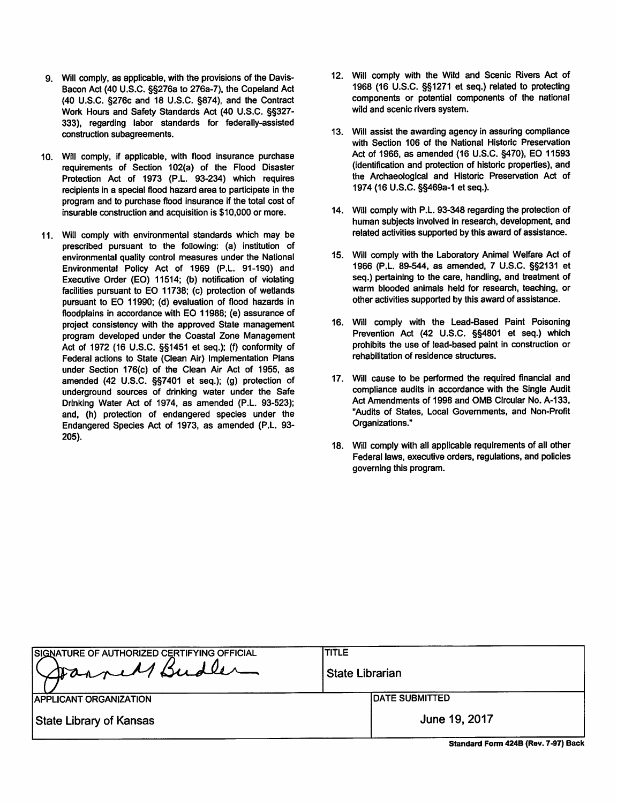- 9. Will comply, as applicable, with the provisions of the Davis-Bacon Act (40 U.S.C. §§276a to 276a-7), the Copeland Act (40 U.S.C. §276c and 18 U.S.C. §874), and the Contract Work Hours and Safety Standards Act (40 U.S.C. §§327-333), regarding labor standards for federally-assisted construction subagreements.
- 10. Will comply, if applicable, with flood insurance purchase requirements of Section 102(a) of the Flood Disaster Protection Act of 1973 (P.L. 93-234) which requires recipients in a special flood hazard area to participate in the program and to purchase flood insurance if the total cost of insurable construction and acquisition is \$10,000 or more.
- 11. Will comply with environmental standards which may be prescribed pursuant to the following: (a) institution of environmental quality control measures under the National Environmental Policy Act of 1969 (P.L. 91-190) and Executive Order (EO) 11514; (b) notification of violating facilities pursuant to EO 11738; (c) protection of wetlands pursuant to EO 11990; (d) evaluation of flood hazards in floodplains in accordance with EO 11988; (e) assurance of project consistency with the approved State management program developed under the Coastal Zone Management Act of 1972 (16 U.S.C. §§1451 et seq.); (f) conformity of Federal actions to State (Clean Air) Implementation Plans under Section 176(c) of the Clean Air Act of 1955, as amended (42 U.S.C. §§7401 et seq.); (g) protection of underground sources of drinking water under the Safe Drinking Water Act of 1974, as amended (P.L. 93-523); and, (h) protection of endangered species under the Endangered Species Act of 1973, as amended (P.L. 93- $205$ ).
- 12. Will comply with the Wild and Scenic Rivers Act of 1968 (16 U.S.C. §§1271 et seq.) related to protecting components or potential components of the national wild and scenic rivers system.
- 13. Will assist the awarding agency in assuring compliance with Section 106 of the National Historic Preservation Act of 1966, as amended (16 U.S.C. §470), EO 11593 (identification and protection of historic properties), and the Archaeological and Historic Preservation Act of 1974 (16 U.S.C. §§469a-1 et seq.).
- 14. Will comply with P.L. 93-348 regarding the protection of human subjects involved in research, development, and related activities supported by this award of assistance.
- 15. Will comply with the Laboratory Animal Welfare Act of 1966 (P.L. 89-544, as amended, 7 U.S.C. §§2131 et seq.) pertaining to the care, handling, and treatment of warm blooded animals held for research, teaching, or other activities supported by this award of assistance.
- 16. Will comply with the Lead-Based Paint Poisoning Prevention Act (42 U.S.C. §§4801 et seq.) which prohibits the use of lead-based paint in construction or rehabilitation of residence structures.
- 17. Will cause to be performed the required financial and compliance audits in accordance with the Single Audit Act Amendments of 1996 and OMB Circular No. A-133, "Audits of States, Local Governments, and Non-Profit Organizations."
- 18. Will comply with all applicable requirements of all other Federal laws, executive orders, regulations, and policies governing this program.

| SIGNATURE OF AUTHORIZED CERTIFYING OFFICIAL<br>Darrell Budler | <b>TITLE</b><br><b>State Librarian</b> |  |
|---------------------------------------------------------------|----------------------------------------|--|
| <b>IAPPLICANT ORGANIZATION</b>                                | <b>IDATE SUBMITTED</b>                 |  |
| State Library of Kansas                                       | June 19, 2017                          |  |
|                                                               | Standard Form 424B (Rev. 7-97) Back    |  |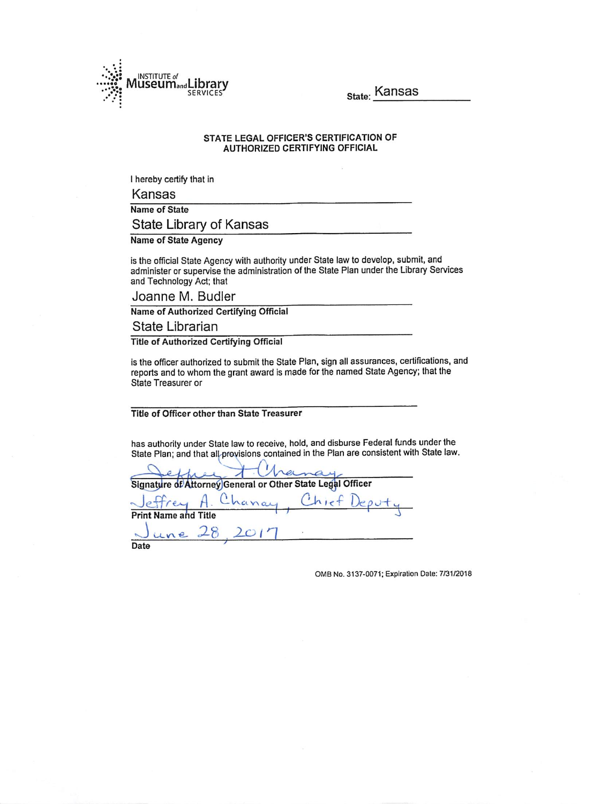

State: Kansas

#### STATE LEGAL OFFICER'S CERTIFICATION OF **AUTHORIZED CERTIFYING OFFICIAL**

I hereby certify that in

Kansas

**Name of State** 

State Library of Kansas

**Name of State Agency** 

is the official State Agency with authority under State law to develop, submit, and administer or supervise the administration of the State Plan under the Library Services and Technology Act; that

Joanne M. Budler

Name of Authorized Certifying Official

State Librarian

**Title of Authorized Certifying Official** 

is the officer authorized to submit the State Plan, sign all assurances, certifications, and reports and to whom the grant award is made for the named State Agency; that the **State Treasurer or** 

Title of Officer other than State Treasurer

has authority under State law to receive, hold, and disburse Federal funds under the State Plan; and that all provisions contained in the Plan are consistent with State law.

|                             |  | Chanay<br>Signature of Attorney General or Other State Legal Officer |                                 |
|-----------------------------|--|----------------------------------------------------------------------|---------------------------------|
|                             |  |                                                                      | Jeffrey A. Chanay, Chief Deputy |
| <b>Print Name and Title</b> |  |                                                                      |                                 |
| June 28, 2017               |  |                                                                      |                                 |
| Date                        |  |                                                                      |                                 |

OMB No. 3137-0071; Expiration Date: 7/31/2018